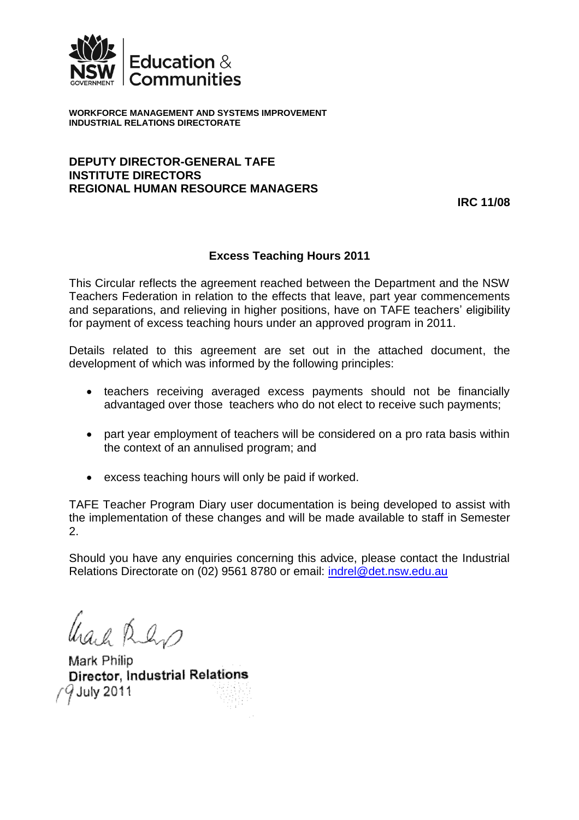

**WORKFORCE MANAGEMENT AND SYSTEMS IMPROVEMENT INDUSTRIAL RELATIONS DIRECTORATE**

#### **DEPUTY DIRECTOR-GENERAL TAFE INSTITUTE DIRECTORS REGIONAL HUMAN RESOURCE MANAGERS**

**IRC 11/08**

## **Excess Teaching Hours 2011**

This Circular reflects the agreement reached between the Department and the NSW Teachers Federation in relation to the effects that leave, part year commencements and separations, and relieving in higher positions, have on TAFE teachers' eligibility for payment of excess teaching hours under an approved program in 2011.

Details related to this agreement are set out in the attached document, the development of which was informed by the following principles:

- teachers receiving averaged excess payments should not be financially advantaged over those teachers who do not elect to receive such payments;
- part year employment of teachers will be considered on a pro rata basis within the context of an annulised program; and
- excess teaching hours will only be paid if worked.

TAFE Teacher Program Diary user documentation is being developed to assist with the implementation of these changes and will be made available to staff in Semester 2.

Should you have any enquiries concerning this advice, please contact the Industrial Relations Directorate on (02) 9561 8780 or email: [indrel@det.nsw.edu.au](mailto:indrel@det.nsw.edu.au)

Used Rens

Mark Philip Director, Industrial Relations  $9$  July 2011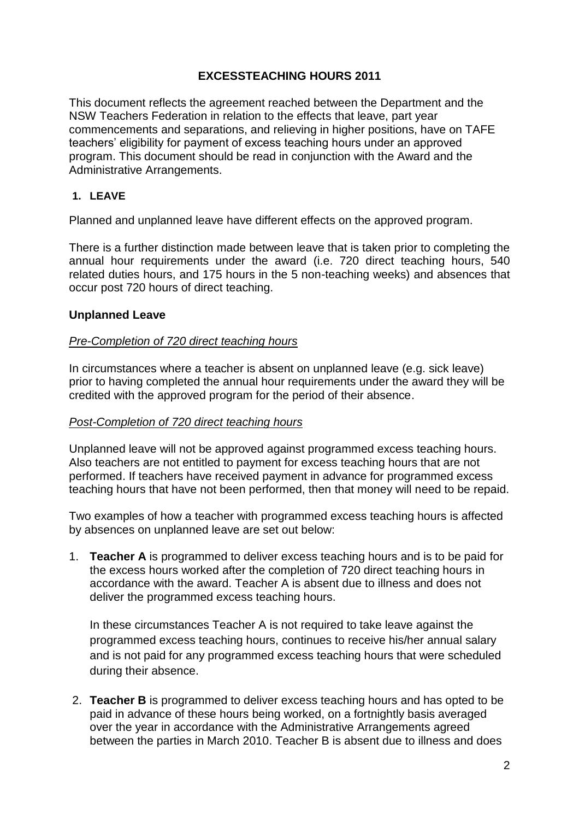# **EXCESSTEACHING HOURS 2011**

This document reflects the agreement reached between the Department and the NSW Teachers Federation in relation to the effects that leave, part year commencements and separations, and relieving in higher positions, have on TAFE teachers' eligibility for payment of excess teaching hours under an approved program. This document should be read in conjunction with the Award and the Administrative Arrangements.

# **1. LEAVE**

Planned and unplanned leave have different effects on the approved program.

There is a further distinction made between leave that is taken prior to completing the annual hour requirements under the award (i.e. 720 direct teaching hours, 540 related duties hours, and 175 hours in the 5 non-teaching weeks) and absences that occur post 720 hours of direct teaching.

### **Unplanned Leave**

#### *Pre-Completion of 720 direct teaching hours*

In circumstances where a teacher is absent on unplanned leave (e.g. sick leave) prior to having completed the annual hour requirements under the award they will be credited with the approved program for the period of their absence.

#### *Post-Completion of 720 direct teaching hours*

Unplanned leave will not be approved against programmed excess teaching hours. Also teachers are not entitled to payment for excess teaching hours that are not performed. If teachers have received payment in advance for programmed excess teaching hours that have not been performed, then that money will need to be repaid.

Two examples of how a teacher with programmed excess teaching hours is affected by absences on unplanned leave are set out below:

1. **Teacher A** is programmed to deliver excess teaching hours and is to be paid for the excess hours worked after the completion of 720 direct teaching hours in accordance with the award. Teacher A is absent due to illness and does not deliver the programmed excess teaching hours.

In these circumstances Teacher A is not required to take leave against the programmed excess teaching hours, continues to receive his/her annual salary and is not paid for any programmed excess teaching hours that were scheduled during their absence.

2. **Teacher B** is programmed to deliver excess teaching hours and has opted to be paid in advance of these hours being worked, on a fortnightly basis averaged over the year in accordance with the Administrative Arrangements agreed between the parties in March 2010. Teacher B is absent due to illness and does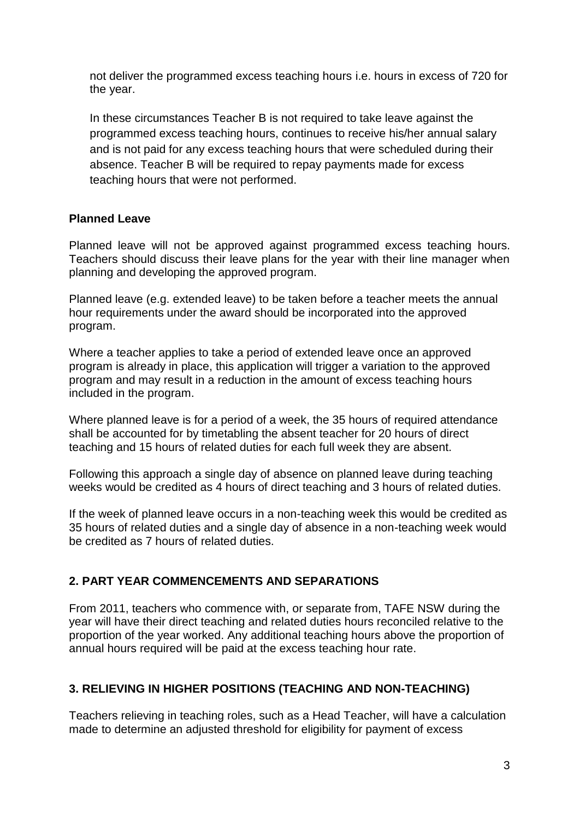not deliver the programmed excess teaching hours i.e. hours in excess of 720 for the year.

In these circumstances Teacher B is not required to take leave against the programmed excess teaching hours, continues to receive his/her annual salary and is not paid for any excess teaching hours that were scheduled during their absence. Teacher B will be required to repay payments made for excess teaching hours that were not performed.

### **Planned Leave**

Planned leave will not be approved against programmed excess teaching hours. Teachers should discuss their leave plans for the year with their line manager when planning and developing the approved program.

Planned leave (e.g. extended leave) to be taken before a teacher meets the annual hour requirements under the award should be incorporated into the approved program.

Where a teacher applies to take a period of extended leave once an approved program is already in place, this application will trigger a variation to the approved program and may result in a reduction in the amount of excess teaching hours included in the program.

Where planned leave is for a period of a week, the 35 hours of required attendance shall be accounted for by timetabling the absent teacher for 20 hours of direct teaching and 15 hours of related duties for each full week they are absent.

Following this approach a single day of absence on planned leave during teaching weeks would be credited as 4 hours of direct teaching and 3 hours of related duties.

If the week of planned leave occurs in a non-teaching week this would be credited as 35 hours of related duties and a single day of absence in a non-teaching week would be credited as 7 hours of related duties.

## **2. PART YEAR COMMENCEMENTS AND SEPARATIONS**

From 2011, teachers who commence with, or separate from, TAFE NSW during the year will have their direct teaching and related duties hours reconciled relative to the proportion of the year worked. Any additional teaching hours above the proportion of annual hours required will be paid at the excess teaching hour rate.

## **3. RELIEVING IN HIGHER POSITIONS (TEACHING AND NON-TEACHING)**

Teachers relieving in teaching roles, such as a Head Teacher, will have a calculation made to determine an adjusted threshold for eligibility for payment of excess